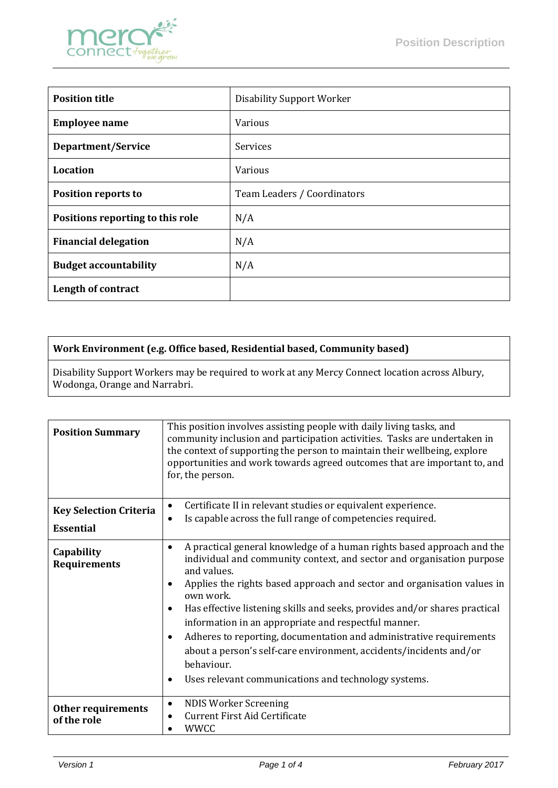

| <b>Position title</b>            | <b>Disability Support Worker</b> |
|----------------------------------|----------------------------------|
| <b>Employee name</b>             | <b>Various</b>                   |
| Department/Service               | Services                         |
| <b>Location</b>                  | <b>Various</b>                   |
| <b>Position reports to</b>       | Team Leaders / Coordinators      |
| Positions reporting to this role | N/A                              |
| <b>Financial delegation</b>      | N/A                              |
| <b>Budget accountability</b>     | N/A                              |
| Length of contract               |                                  |

## **Work Environment (e.g. Office based, Residential based, Community based)**

Disability Support Workers may be required to work at any Mercy Connect location across Albury, Wodonga, Orange and Narrabri.

| <b>Position Summary</b>                           | This position involves assisting people with daily living tasks, and<br>community inclusion and participation activities. Tasks are undertaken in<br>the context of supporting the person to maintain their wellbeing, explore<br>opportunities and work towards agreed outcomes that are important to, and<br>for, the person.                                                                                                                                                                                                                                                                                                                             |  |
|---------------------------------------------------|-------------------------------------------------------------------------------------------------------------------------------------------------------------------------------------------------------------------------------------------------------------------------------------------------------------------------------------------------------------------------------------------------------------------------------------------------------------------------------------------------------------------------------------------------------------------------------------------------------------------------------------------------------------|--|
| <b>Key Selection Criteria</b><br><b>Essential</b> | Certificate II in relevant studies or equivalent experience.<br>٠<br>Is capable across the full range of competencies required.<br>$\bullet$                                                                                                                                                                                                                                                                                                                                                                                                                                                                                                                |  |
| Capability<br><b>Requirements</b>                 | A practical general knowledge of a human rights based approach and the<br>٠<br>individual and community context, and sector and organisation purpose<br>and values.<br>Applies the rights based approach and sector and organisation values in<br>own work.<br>Has effective listening skills and seeks, provides and/or shares practical<br>$\bullet$<br>information in an appropriate and respectful manner.<br>Adheres to reporting, documentation and administrative requirements<br>$\bullet$<br>about a person's self-care environment, accidents/incidents and/or<br>behaviour.<br>Uses relevant communications and technology systems.<br>$\bullet$ |  |
| Other requirements<br>of the role                 | <b>NDIS Worker Screening</b><br>$\bullet$<br><b>Current First Aid Certificate</b><br>٠<br><b>WWCC</b>                                                                                                                                                                                                                                                                                                                                                                                                                                                                                                                                                       |  |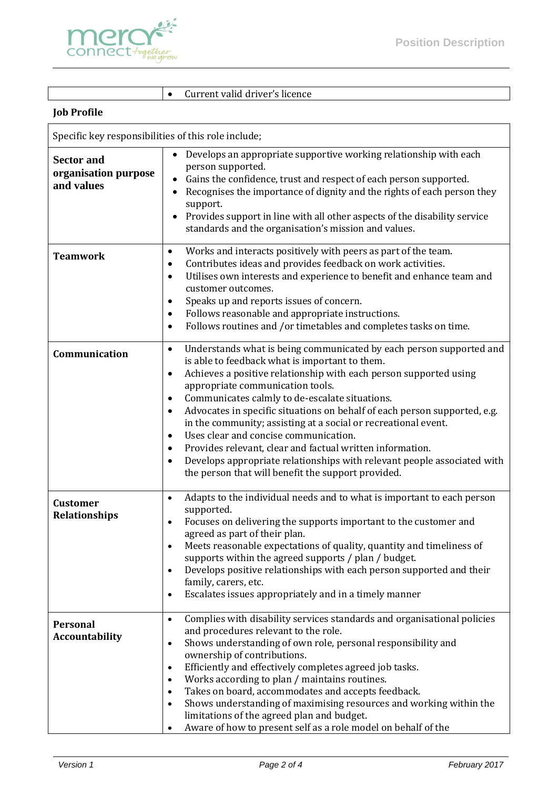

Current valid driver's licence

## **Job Profile**

| Specific key responsibilities of this role include;     |                                                                                                                                                                                                                                                                                                                                                                                                                                                                                                                                                                                                                                                                                                                                   |  |
|---------------------------------------------------------|-----------------------------------------------------------------------------------------------------------------------------------------------------------------------------------------------------------------------------------------------------------------------------------------------------------------------------------------------------------------------------------------------------------------------------------------------------------------------------------------------------------------------------------------------------------------------------------------------------------------------------------------------------------------------------------------------------------------------------------|--|
| <b>Sector and</b><br>organisation purpose<br>and values | Develops an appropriate supportive working relationship with each<br>person supported.<br>Gains the confidence, trust and respect of each person supported.<br>Recognises the importance of dignity and the rights of each person they<br>٠<br>support.<br>Provides support in line with all other aspects of the disability service<br>$\bullet$<br>standards and the organisation's mission and values.                                                                                                                                                                                                                                                                                                                         |  |
| <b>Teamwork</b>                                         | Works and interacts positively with peers as part of the team.<br>$\bullet$<br>Contributes ideas and provides feedback on work activities.<br>٠<br>Utilises own interests and experience to benefit and enhance team and<br>$\bullet$<br>customer outcomes.<br>Speaks up and reports issues of concern.<br>٠<br>Follows reasonable and appropriate instructions.<br>٠<br>Follows routines and /or timetables and completes tasks on time.<br>$\bullet$                                                                                                                                                                                                                                                                            |  |
| Communication                                           | Understands what is being communicated by each person supported and<br>$\bullet$<br>is able to feedback what is important to them.<br>Achieves a positive relationship with each person supported using<br>$\bullet$<br>appropriate communication tools.<br>Communicates calmly to de-escalate situations.<br>٠<br>Advocates in specific situations on behalf of each person supported, e.g.<br>$\bullet$<br>in the community; assisting at a social or recreational event.<br>Uses clear and concise communication.<br>٠<br>Provides relevant, clear and factual written information.<br>٠<br>Develops appropriate relationships with relevant people associated with<br>٠<br>the person that will benefit the support provided. |  |
| <b>Customer</b><br><b>Relationships</b>                 | Adapts to the individual needs and to what is important to each person<br>$\bullet$<br>supported.<br>Focuses on delivering the supports important to the customer and<br>$\bullet$<br>agreed as part of their plan.<br>Meets reasonable expectations of quality, quantity and timeliness of<br>supports within the agreed supports / plan / budget.<br>Develops positive relationships with each person supported and their<br>family, carers, etc.<br>Escalates issues appropriately and in a timely manner<br>$\bullet$                                                                                                                                                                                                         |  |
| <b>Personal</b><br><b>Accountability</b>                | Complies with disability services standards and organisational policies<br>$\bullet$<br>and procedures relevant to the role.<br>Shows understanding of own role, personal responsibility and<br>$\bullet$<br>ownership of contributions.<br>Efficiently and effectively completes agreed job tasks.<br>$\bullet$<br>Works according to plan / maintains routines.<br>$\bullet$<br>Takes on board, accommodates and accepts feedback.<br>$\bullet$<br>Shows understanding of maximising resources and working within the<br>$\bullet$<br>limitations of the agreed plan and budget.<br>Aware of how to present self as a role model on behalf of the                                                                               |  |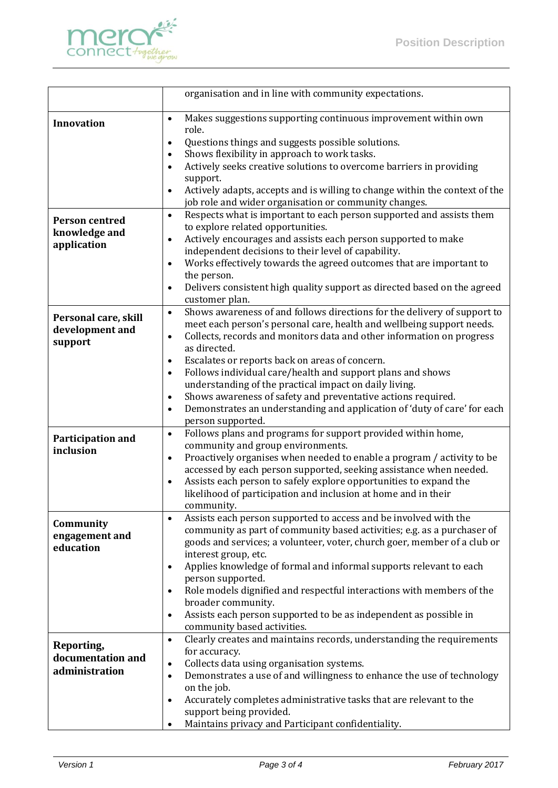

|                                                       | organisation and in line with community expectations.                                                                                                                                                                                                                                                                                                                                                                                                                                                                                                                                                                                                       |
|-------------------------------------------------------|-------------------------------------------------------------------------------------------------------------------------------------------------------------------------------------------------------------------------------------------------------------------------------------------------------------------------------------------------------------------------------------------------------------------------------------------------------------------------------------------------------------------------------------------------------------------------------------------------------------------------------------------------------------|
| <b>Innovation</b>                                     | Makes suggestions supporting continuous improvement within own<br>$\bullet$<br>role.<br>Questions things and suggests possible solutions.<br>$\bullet$                                                                                                                                                                                                                                                                                                                                                                                                                                                                                                      |
|                                                       | Shows flexibility in approach to work tasks.<br>$\bullet$<br>Actively seeks creative solutions to overcome barriers in providing<br>$\bullet$<br>support.<br>Actively adapts, accepts and is willing to change within the context of the<br>$\bullet$                                                                                                                                                                                                                                                                                                                                                                                                       |
| <b>Person centred</b><br>knowledge and<br>application | job role and wider organisation or community changes.<br>Respects what is important to each person supported and assists them<br>$\bullet$<br>to explore related opportunities.<br>Actively encourages and assists each person supported to make<br>$\bullet$<br>independent decisions to their level of capability.<br>Works effectively towards the agreed outcomes that are important to<br>$\bullet$<br>the person.<br>Delivers consistent high quality support as directed based on the agreed<br>$\bullet$<br>customer plan.                                                                                                                          |
| Personal care, skill<br>development and<br>support    | Shows awareness of and follows directions for the delivery of support to<br>$\bullet$<br>meet each person's personal care, health and wellbeing support needs.<br>Collects, records and monitors data and other information on progress<br>$\bullet$<br>as directed.<br>Escalates or reports back on areas of concern.<br>٠<br>Follows individual care/health and support plans and shows<br>$\bullet$<br>understanding of the practical impact on daily living.<br>Shows awareness of safety and preventative actions required.<br>$\bullet$<br>Demonstrates an understanding and application of 'duty of care' for each<br>$\bullet$<br>person supported. |
| Participation and<br>inclusion                        | Follows plans and programs for support provided within home,<br>$\bullet$<br>community and group environments.<br>Proactively organises when needed to enable a program / activity to be<br>$\bullet$<br>accessed by each person supported, seeking assistance when needed.<br>Assists each person to safely explore opportunities to expand the<br>$\bullet$<br>likelihood of participation and inclusion at home and in their<br>community.                                                                                                                                                                                                               |
| Community<br>engagement and<br>education              | Assists each person supported to access and be involved with the<br>$\bullet$<br>community as part of community based activities; e.g. as a purchaser of<br>goods and services; a volunteer, voter, church goer, member of a club or<br>interest group, etc.<br>Applies knowledge of formal and informal supports relevant to each<br>$\bullet$<br>person supported.<br>Role models dignified and respectful interactions with members of the<br>$\bullet$<br>broader community.<br>Assists each person supported to be as independent as possible in<br>$\bullet$<br>community based activities.                                                           |
| Reporting,<br>documentation and<br>administration     | Clearly creates and maintains records, understanding the requirements<br>$\bullet$<br>for accuracy.<br>Collects data using organisation systems.<br>$\bullet$<br>Demonstrates a use of and willingness to enhance the use of technology<br>$\bullet$<br>on the job.<br>Accurately completes administrative tasks that are relevant to the<br>$\bullet$<br>support being provided.<br>Maintains privacy and Participant confidentiality.                                                                                                                                                                                                                     |